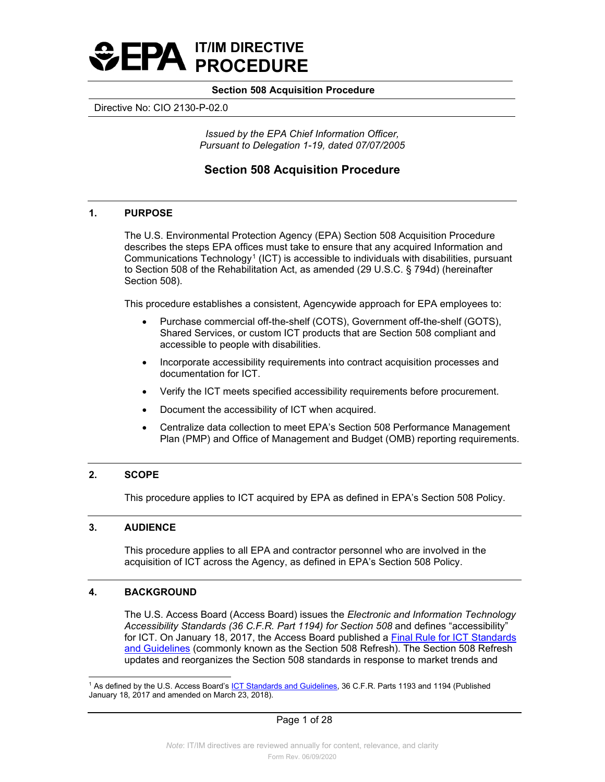

Directive No: CIO 2130-P-02.0

*Issued by the EPA Chief Information Officer, Pursuant to Delegation 1-19, dated 07/07/2005* 

# **Section 508 Acquisition Procedure**

## **1. PURPOSE**

The U.S. Environmental Protection Agency (EPA) Section 508 Acquisition Procedure describes the steps EPA offices must take to ensure that any acquired Information and Communications Technology<sup>[1](#page-0-0)</sup> (ICT) is accessible to individuals with disabilities, pursuant to Section 508 of the Rehabilitation Act, as amended (29 U.S.C. § 794d) (hereinafter Section 508).

This procedure establishes a consistent, Agencywide approach for EPA employees to:

- Purchase commercial off-the-shelf (COTS), Government off-the-shelf (GOTS), Shared Services, or custom ICT products that are Section 508 compliant and accessible to people with disabilities.
- Incorporate accessibility requirements into contract acquisition processes and documentation for ICT.
- Verify the ICT meets specified accessibility requirements before procurement.
- Document the accessibility of ICT when acquired.
- Centralize data collection to meet EPA's Section 508 Performance Management Plan (PMP) and Office of Management and Budget (OMB) reporting requirements.

### **2. SCOPE**

This procedure applies to ICT acquired by EPA as defined in EPA's Section 508 Policy.

## **3. AUDIENCE**

This procedure applies to all EPA and contractor personnel who are involved in the acquisition of ICT across the Agency, as defined in EPA's Section 508 Policy.

#### **4. BACKGROUND**

 *Accessibility Standards (36 C.F.R. Part 1194) for Section 508* and defines "accessibility" The U.S. Access Board (Access Board) issues the *Electronic and Information Technology*  for ICT. On January 18, 2017, the Access Board published a [Final Rule for ICT Standards](https://www.access-board.gov/ict/#preamble)  [and Guidelines](https://www.access-board.gov/ict/#preamble) (commonly known as the Section 508 Refresh). The Section 508 Refresh updates and reorganizes the Section 508 standards in response to market trends and

<span id="page-0-0"></span><sup>&</sup>lt;sup>1</sup> As defined by the U.S. Access Board's <u>ICT Standards and Guidelines</u>, 36 C.F.R. Parts 1193 and 1194 (Published January 18, 2017 and amended on March 23, 2018).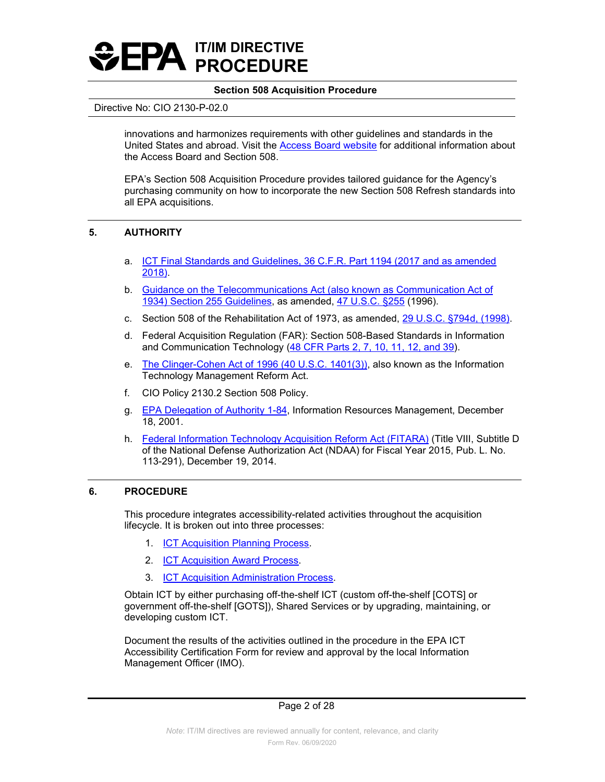

#### Directive No: CIO 2130-P-02.0

United States and abroad. Visit the <u>Access Board website</u> for additional information about the Access Board and Section 508. innovations and harmonizes requirements with other guidelines and standards in the

EPA's Section 508 Acquisition Procedure provides tailored guidance for the Agency's purchasing community on how to incorporate the new Section 508 Refresh standards into all EPA acquisitions.

# **5. AUTHORITY**

- a. [ICT Final Standards and Guidelines, 36 C.F.R. Part 1194 \(2017 and as amended](https://www.access-board.gov/ict/) [2018\).](https://www.access-board.gov/ict/)
- b. [Guidance on the Telecommunications Act \(also known as Communication Act of](https://www.access-board.gov/ict/#255ch1) <u>1934) Section 255 Guidelines</u>, as amended, <u>47 U.S.C. §255</u> (1996).
- c. Section 508 of the Rehabilitation Act of 1973, as amended, [29 U.S.C. §794d, \(1998\).](https://www.gpo.gov/fdsys/pkg/USCODE-2011-title29/html/USCODE-2011-title29-chap16-subchapV-sec794d.htm)
- and Communication Technology (<mark>48 CFR Parts 2, 7, 10, 11, 12, and 39</mark>). d. Federal Acquisition Regulation (FAR): Section 508-Based Standards in Information
- e. [The Clinger-Cohen Act of 1996 \(40 U.S.C. 1401\(3\)\),](https://www.govinfo.gov/content/pkg/USCODE-2011-title40/html/USCODE-2011-title40-subtitleIII.htm) also known as the Information Technology Management Reform Act.
- f. CIO Policy 2130.2 Section 508 Policy.
- g. [EPA Delegation of Authority 1-84,](http://intranet.epa.gov/ohr/rmpolicy/ads/dm/1-84_534.htm) Information Resources Management, December 18, 2001.
- of the National Defense Authorization Act (NDAA) for Fiscal Year 2015, Pub. L. No. h. [Federal Information Technology Acquisition Reform Act \(FITARA\)](https://www.congress.gov/113/plaws/publ291/PLAW-113publ291.pdf#page=148) (Title VIII, Subtitle D 113-291), December 19, 2014.

### **6. PROCEDURE**

This procedure integrates accessibility-related activities throughout the acquisition lifecycle. It is broken out into three processes:

- 1. **[ICT Acquisition Planning Process.](#page-2-0)**
- 2. [ICT Acquisition Award Process.](#page-5-0)
- 3. [ICT Acquisition Administration Process.](#page-7-0)

 Obtain ICT by either purchasing off-the-shelf ICT (custom off-the-shelf [COTS] or government off-the-shelf [GOTS]), Shared Services or by upgrading, maintaining, or developing custom ICT.

 Accessibility Certification Form for review and approval by the local Information Document the results of the activities outlined in the procedure in the EPA ICT Management Officer (IMO).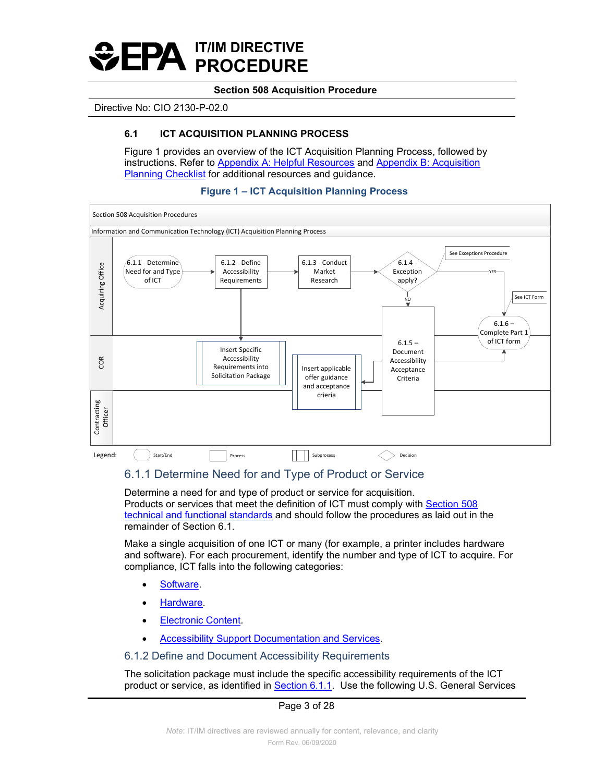

#### <span id="page-2-0"></span>Directive No: CIO 2130-P-02.0

# **6.1 ICT ACQUISITION PLANNING PROCESS**

Figure 1 provides an overview of the ICT Acquisition Planning Process, followed by instructions. Refer to [Appendix A: Helpful Resources](#page-16-0) and [Appendix B: Acquisition](#page-18-0) [Planning Checklist f](#page-18-0)or additional resources and guidance.



#### <span id="page-2-1"></span> **Figure 1 – ICT Acquisition Planning Process**

# 6.1.1 Determine Need for and Type of Product or Service

 Determine a need for and type of product or service for acquisition. Products or services that meet the definition of ICT must comply with [Section 508](https://www.access-board.gov/guidelines-and-standards/communications-and-it/about-the-ict-refresh/final-rule/iii-major-issues-5)  [technical and functional standards](https://www.access-board.gov/guidelines-and-standards/communications-and-it/about-the-ict-refresh/final-rule/iii-major-issues-5) and should follow the procedures as laid out in the remainder of Section 6.1.

 Make a single acquisition of one ICT or many (for example, a printer includes hardware and software). For each procurement, identify the number and type of ICT to acquire. For compliance, ICT falls into the following categories:

- [Software.](#page-13-0)
- **Hardware**
- **[Electronic Content.](#page-12-0)**
- **[Accessibility Support Documentation and Services.](#page-12-1)**

#### <span id="page-2-2"></span>6.1.2 Define and Document Accessibility Requirements

product or service, as identified in <u>Section 6.1.1</u>. Use the following U.S. General Services The solicitation package must include the specific accessibility requirements of the ICT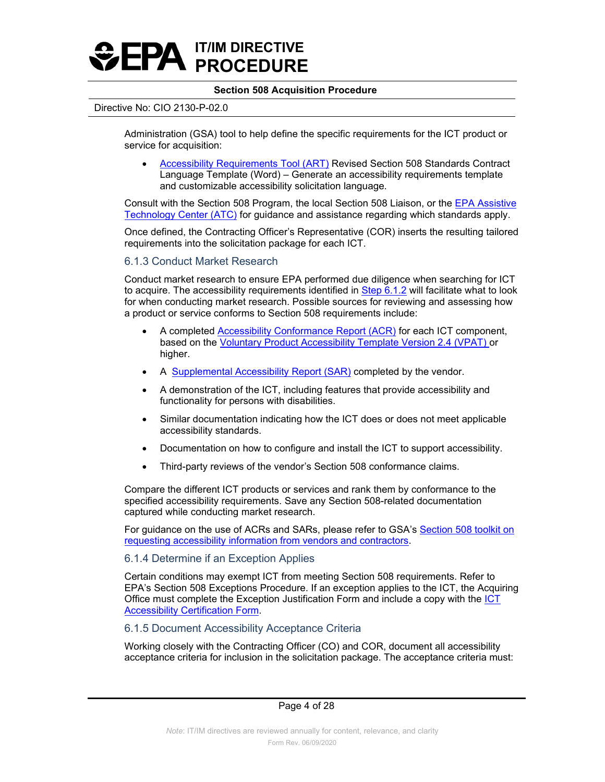

#### Directive No: CIO 2130-P-02.0

 Administration (GSA) tool to help define the specific requirements for the ICT product or service for acquisition:

• [Accessibility Requirements Tool \(ART\)](https://www.section508.gov/buy/accessibility-requirements-tool) Revised Section 508 Standards Contract Language Template (Word) – Generate an accessibility requirements template and customizable accessibility solicitation language.

Consult with the Section 508 Program, the local Section 508 Liaison, or the [EPA Assistive](http://intranet.epa.gov/accessibility/atc.html)  [Technology Center \(ATC\)](http://intranet.epa.gov/accessibility/atc.html) for guidance and assistance regarding which standards apply.

 requirements into the solicitation package for each ICT. Once defined, the Contracting Officer's Representative (COR) inserts the resulting tailored

# 6.1.3 Conduct Market Research

Conduct market research to ensure EPA performed due diligence when searching for ICT to acquire. The accessibility requirements identified in [Step 6.1.2](#page-2-2) will facilitate what to look for when conducting market research. Possible sources for reviewing and assessing how a product or service conforms to Section 508 requirements include:

- higher. • A completed [Accessibility Conformance Report \(ACR\)](https://www.section508.gov/content/glossary#sectionA) for each ICT component, based on the [Voluntary Product Accessibility Template Version 2.4 \(VPAT\)](https://www.itic.org/policy/accessibility/vpat) or
- A [Supplemental Accessibility Report \(SAR\)](https://www.section508.gov/buy/request-accessibility-information#0) completed by the vendor.
- A demonstration of the ICT, including features that provide accessibility and functionality for persons with disabilities.
- • Similar documentation indicating how the ICT does or does not meet applicable accessibility standards.
- Documentation on how to configure and install the ICT to support accessibility.
- Third-party reviews of the vendor's Section 508 conformance claims.

Compare the different ICT products or services and rank them by conformance to the specified accessibility requirements. Save any Section 508-related documentation captured while conducting market research.

For guidance on the use of ACRs and SARs, please refer to GSA's Section 508 toolkit on [requesting accessibility information from vendors and contractors.](https://section508.gov/refresh-toolkit/request-accessibility-information-from-vendors-and-contractors)

# 6.1.4 Determine if an Exception Applies

Certain conditions may exempt ICT from meeting Section 508 requirements. Refer to EPA's Section 508 Exceptions Procedure. If an exception applies to the ICT, the Acquiring Office must complete the Exception Justification Form and include a copy with the [ICT](#page-16-1) [Accessibility Certification Form.](#page-16-1)

### <span id="page-3-0"></span>6.1.5 Document Accessibility Acceptance Criteria

acceptance criteria for inclusion in the solicitation package. The acceptance criteria must:<br>Page 4 of 28 Working closely with the Contracting Officer (CO) and COR, document all accessibility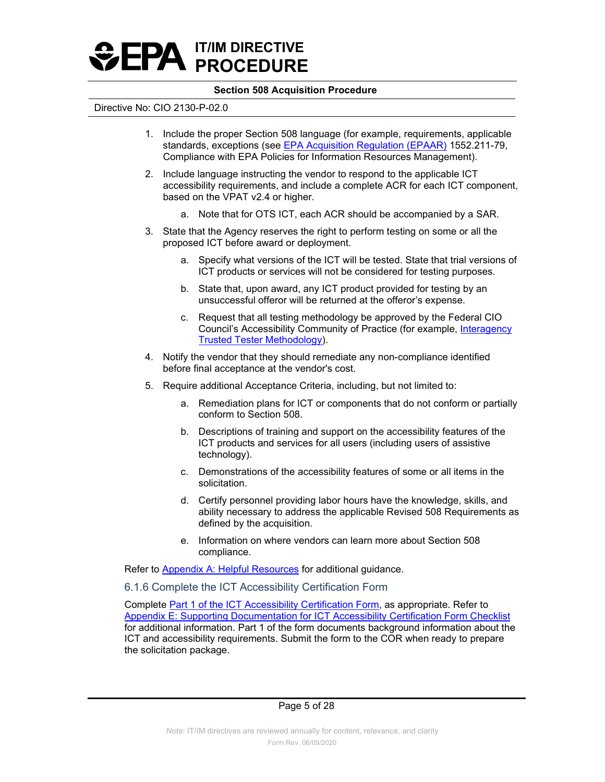

#### Directive No: CIO 2130-P-02.0

- 1. Include the proper Section 508 language (for example, requirements, applicable standards, exceptions (see [EPA Acquisition Regulation \(EPAAR\)](https://www.ecfr.gov/cgi-bin/text-idx?c=ecfr&tpl=/ecfrbrowse/Title48/48cfrv6_02.tpl) 1552.211-79, Compliance with EPA Policies for Information Resources Management).
- 2. Include language instructing the vendor to respond to the applicable ICT accessibility requirements, and include a complete ACR for each ICT component, based on the VPAT v2.4 or higher.
	- a. Note that for OTS ICT, each ACR should be accompanied by a SAR.
- 3. State that the Agency reserves the right to perform testing on some or all the proposed ICT before award or deployment.
	- a. Specify what versions of the ICT will be tested. State that trial versions of ICT products or services will not be considered for testing purposes.
	- b. State that, upon award, any ICT product provided for testing by an unsuccessful offeror will be returned at the offeror's expense.
	- c. Request that all testing methodology be approved by the Federal CIO Council's Accessibility Community of Practice (for example, [Interagency](https://www.section508.gov/test/trusted-tester)  [Trusted Tester Methodology\)](https://www.section508.gov/test/trusted-tester).
- 4. Notify the vendor that they should remediate any non-compliance identified before final acceptance at the vendor's cost.
- 5. Require additional Acceptance Criteria, including, but not limited to:
	- a. Remediation plans for ICT or components that do not conform or partially conform to Section 508.
	- b. Descriptions of training and support on the accessibility features of the ICT products and services for all users (including users of assistive technology).
	- c. Demonstrations of the accessibility features of some or all items in the solicitation.
	- d. Certify personnel providing labor hours have the knowledge, skills, and ability necessary to address the applicable Revised 508 Requirements as defined by the acquisition.
	- e. Information on where vendors can learn more about Section 508 compliance.

Refer to [Appendix A: Helpful Resources](#page-16-0) for additional guidance.

6.1.6 Complete the ICT Accessibility Certification Form

Complete [Part 1 of the ICT Accessibility Certification Form,](#page-23-0) as appropriate. Refer to [Appendix E: Supporting Documentation for ICT Accessibility Certification Form Checklist](#page-22-0)  for additional information. Part 1 of the form documents background information about the ICT and accessibility requirements. Submit the form to the COR when ready to prepare the solicitation package.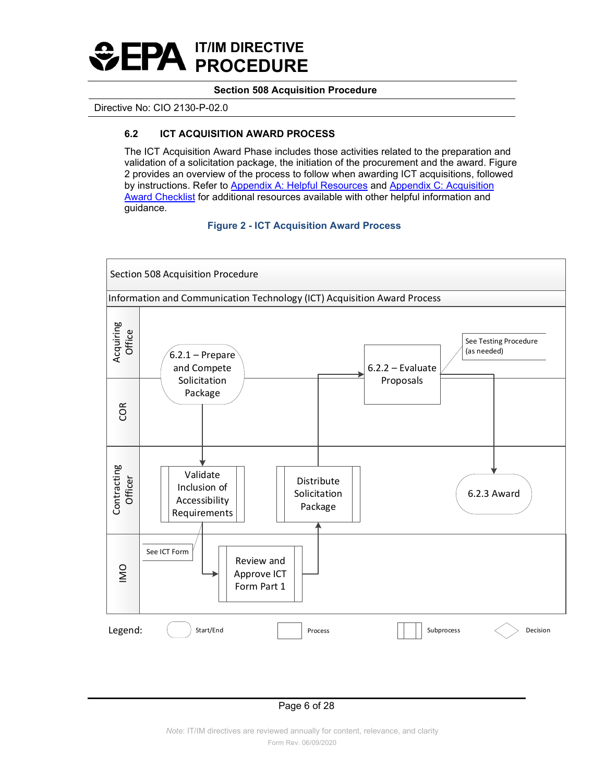

<span id="page-5-0"></span>Directive No: CIO 2130-P-02.0

# **6.2 ICT ACQUISITION AWARD PROCESS**

The ICT Acquisition Award Phase includes those activities related to the preparation and validation of a solicitation package, the initiation of the procurement and the award. Figure 2 provides an overview of the process to follow when awarding ICT acquisitions, followed by instructions. Refer to [Appendix A: Helpful Resources](#page-16-0) and [Appendix C: Acquisition](#page-20-0)  [Award Checklist](#page-20-0) for additional resources available with other helpful information and guidance.

 **Figure 2 - ICT Acquisition Award Process** 

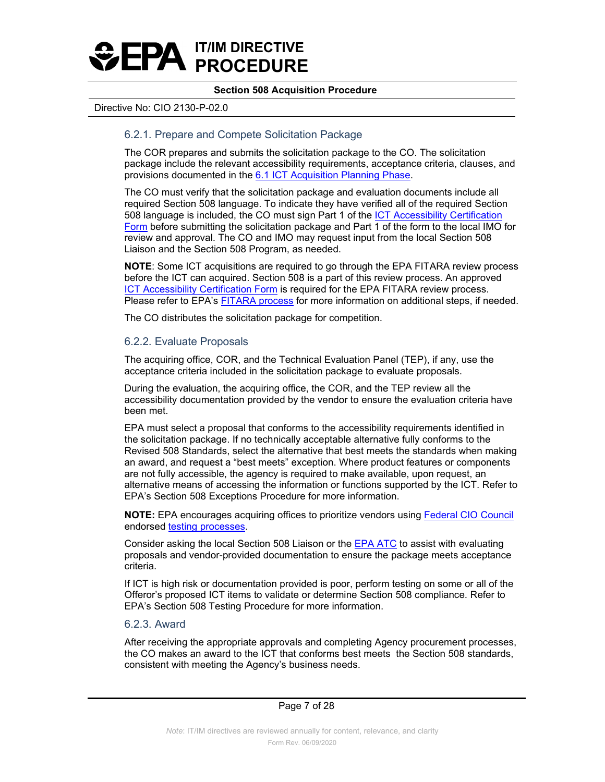

#### Directive No: CIO 2130-P-02.0

# 6.2.1. Prepare and Compete Solicitation Package

The COR prepares and submits the solicitation package to the CO. The solicitation package include the relevant accessibility requirements, acceptance criteria, clauses, and provisions documented in the [6.1 ICT Acquisition Planning Phase.](#page-2-0)

508 language is included, the CO must sign Part 1 of the <u>ICT Accessibility Certification</u> The CO must verify that the solicitation package and evaluation documents include all required Section 508 language. To indicate they have verified all of the required Section [Form](#page-23-0) before submitting the solicitation package and Part 1 of the form to the local IMO for review and approval. The CO and IMO may request input from the local Section 508 Liaison and the Section 508 Program, as needed.

[ICT Accessibility Certification Form](#page-23-0) is required for the EPA FITARA review process. **NOTE**: Some ICT acquisitions are required to go through the EPA FITARA review process before the ICT can acquired. Section 508 is a part of this review process. An approved Please refer to EPA's [FITARA process](https://oamintra.epa.gov/sites/oamintra.epa.gov/files/EPAAG%2039.1.1%28IdentifyingIT%29_0.docx) for more information on additional steps, if needed.

The CO distributes the solicitation package for competition.

#### 6.2.2. Evaluate Proposals

The acquiring office, COR, and the Technical Evaluation Panel (TEP), if any, use the acceptance criteria included in the solicitation package to evaluate proposals.

During the evaluation, the acquiring office, the COR, and the TEP review all the accessibility documentation provided by the vendor to ensure the evaluation criteria have been met.

 EPA must select a proposal that conforms to the accessibility requirements identified in the solicitation package. If no technically acceptable alternative fully conforms to the Revised 508 Standards, select the alternative that best meets the standards when making an award, and request a "best meets" exception. Where product features or components are not fully accessible, the agency is required to make available, upon request, an alternative means of accessing the information or functions supported by the ICT. Refer to EPA's Section 508 Exceptions Procedure for more information.

**NOTE:** EPA encourages acquiring offices to prioritize vendors using [Federal CIO Council](https://www.cio.gov/about/members-and-leadership/accessibility-cop/)  endorsed [testing processes.](https://www.section508.gov/test/trusted-tester)

Consider asking the local Section 508 Liaison or the [EPA ATC](http://intranet.epa.gov/accessibility/atc.html) to assist with evaluating proposals and vendor-provided documentation to ensure the package meets acceptance criteria.

If ICT is high risk or documentation provided is poor, perform testing on some or all of the Offeror's proposed ICT items to validate or determine Section 508 compliance. Refer to EPA's Section 508 Testing Procedure for more information.

#### 6.2.3. Award

 the CO makes an award to the ICT that conforms best meets the Section 508 standards, After receiving the appropriate approvals and completing Agency procurement processes, consistent with meeting the Agency's business needs.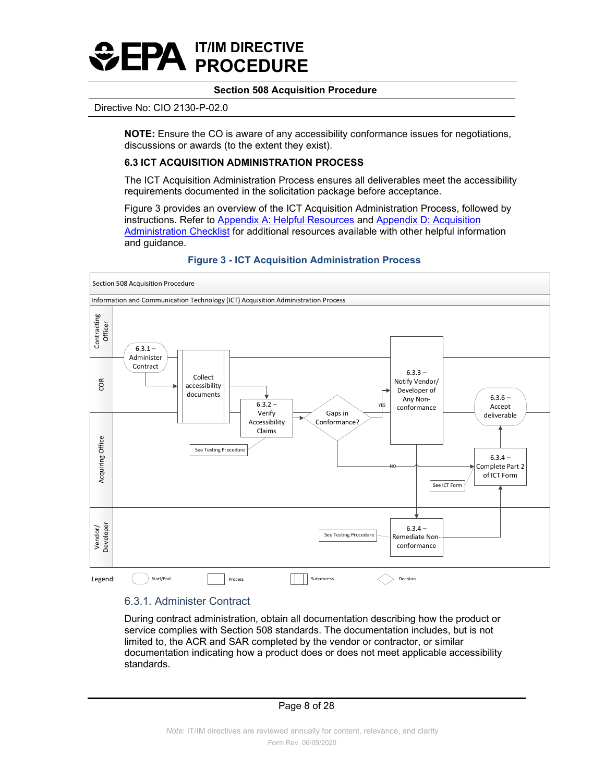

#### Directive No: CIO 2130-P-02.0

**NOTE:** Ensure the CO is aware of any accessibility conformance issues for negotiations, discussions or awards (to the extent they exist).

# <span id="page-7-0"></span>**6.3 ICT ACQUISITION ADMINISTRATION PROCESS**

 The ICT Acquisition Administration Process ensures all deliverables meet the accessibility requirements documented in the solicitation package before acceptance.

Figure 3 provides an overview of the ICT Acquisition Administration Process, followed by instructions. Refer to [Appendix A: Helpful Resources](#page-16-0) and Appendix D: Acquisition [Administration Checklist](#page-21-0) for additional resources available with other helpful information and guidance.



# **Figure 3 - ICT Acquisition Administration Process**

#### 6.3.1. Administer Contract

 service complies with Section 508 standards. The documentation includes, but is not documentation indicating how a product does or does not meet applicable accessibility During contract administration, obtain all documentation describing how the product or limited to, the ACR and SAR completed by the vendor or contractor, or similar standards.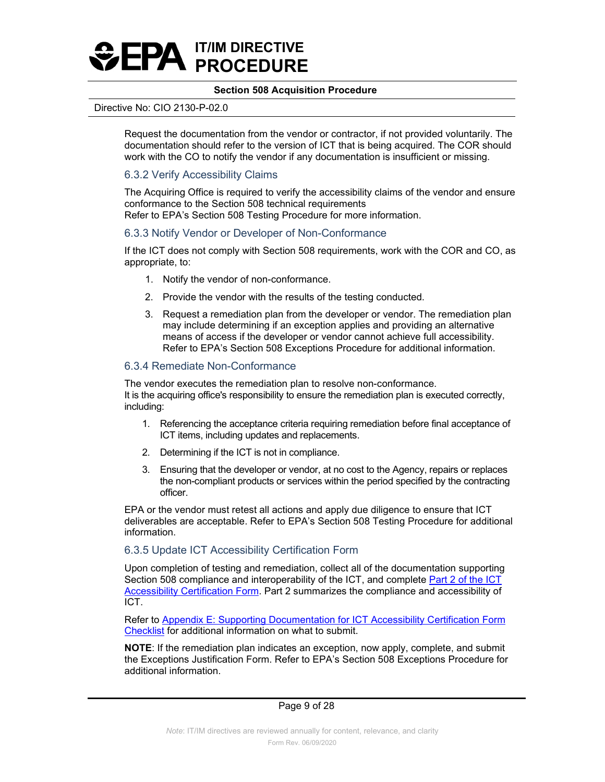

#### Directive No: CIO 2130-P-02.0

 Request the documentation from the vendor or contractor, if not provided voluntarily. The work with the CO to notify the vendor if any documentation is insufficient or missing. documentation should refer to the version of ICT that is being acquired. The COR should

# 6.3.2 Verify Accessibility Claims

The Acquiring Office is required to verify the accessibility claims of the vendor and ensure conformance to the Section 508 technical requirements Refer to EPA's Section 508 Testing Procedure for more information.

#### 6.3.3 Notify Vendor or Developer of Non-Conformance

If the ICT does not comply with Section 508 requirements, work with the COR and CO, as appropriate, to:

- 1. Notify the vendor of non-conformance.
- 2. Provide the vendor with the results of the testing conducted.
- 3. Request a remediation plan from the developer or vendor. The remediation plan may include determining if an exception applies and providing an alternative means of access if the developer or vendor cannot achieve full accessibility. Refer to EPA's Section 508 Exceptions Procedure for additional information.

### 6.3.4 Remediate Non-Conformance

The vendor executes the remediation plan to resolve non-conformance. It is the acquiring office's responsibility to ensure the remediation plan is executed correctly, including:

- 1. Referencing the acceptance criteria requiring remediation before final acceptance of ICT items, including updates and replacements.
- 2. Determining if the ICT is not in compliance.
- 3. Ensuring that the developer or vendor, at no cost to the Agency, repairs or replaces the non-compliant products or services within the period specified by the contracting officer.

 EPA or the vendor must retest all actions and apply due diligence to ensure that ICT deliverables are acceptable. Refer to EPA's Section 508 Testing Procedure for additional information.

### 6.3.5 Update ICT Accessibility Certification Form

 Upon completion of testing and remediation, collect all of the documentation supporting Section 508 compliance and interoperability of the ICT, and complete Part 2 of the ICT [Accessibility Certification Form.](#page-26-0) Part 2 summarizes the compliance and accessibility of ICT.

Refer to Appendix E: Supporting Documentation for ICT Accessibility Certification Form [Checklist](#page-22-0) for additional information on what to submit.

 **NOTE**: If the remediation plan indicates an exception, now apply, complete, and submit the Exceptions Justification Form. Refer to EPA's Section 508 Exceptions Procedure for additional information.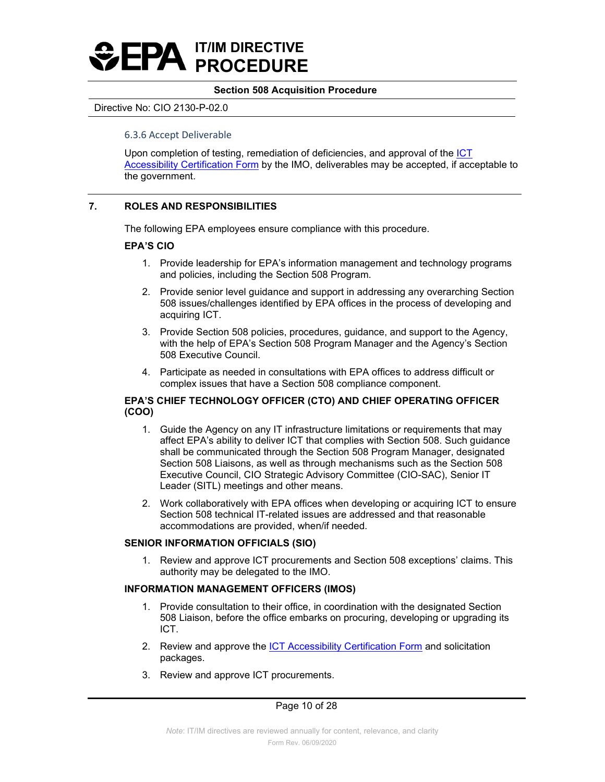

#### Directive No: CIO 2130-P-02.0

#### 6.3.6 Accept Deliverable

Upon completion of testing, remediation of deficiencies, and approval of the [ICT](#page-26-0)  [Accessibility Certification Form](#page-26-0) by the IMO, deliverables may be accepted, if acceptable to the government.

# **7. ROLES AND RESPONSIBILITIES**

The following EPA employees ensure compliance with this procedure.

#### **EPA'S CIO**

- 1. Provide leadership for EPA's information management and technology programs and policies, including the Section 508 Program.
- 2. Provide senior level guidance and support in addressing any overarching Section 508 issues/challenges identified by EPA offices in the process of developing and acquiring ICT.
- 3. Provide Section 508 policies, procedures, guidance, and support to the Agency, with the help of EPA's Section 508 Program Manager and the Agency's Section 508 Executive Council.
- 4. Participate as needed in consultations with EPA offices to address difficult or complex issues that have a Section 508 compliance component.

## **EPA'S CHIEF TECHNOLOGY OFFICER (CTO) AND CHIEF OPERATING OFFICER (COO)**

- Executive Council, CIO Strategic Advisory Committee (CIO-SAC), Senior IT 1. Guide the Agency on any IT infrastructure limitations or requirements that may affect EPA's ability to deliver ICT that complies with Section 508. Such guidance shall be communicated through the Section 508 Program Manager, designated Section 508 Liaisons, as well as through mechanisms such as the Section 508 Leader (SITL) meetings and other means.
- 2. Work collaboratively with EPA offices when developing or acquiring ICT to ensure Section 508 technical IT-related issues are addressed and that reasonable accommodations are provided, when/if needed.

### **SENIOR INFORMATION OFFICIALS (SIO)**

1. Review and approve ICT procurements and Section 508 exceptions' claims. This authority may be delegated to the IMO.

### **INFORMATION MANAGEMENT OFFICERS (IMOS)**

- 1. Provide consultation to their office, in coordination with the designated Section 508 Liaison, before the office embarks on procuring, developing or upgrading its ICT.
- 2. Review and approve the [ICT Accessibility Certification Form](#page-23-0) and solicitation packages.
- 3. Review and approve ICT procurements.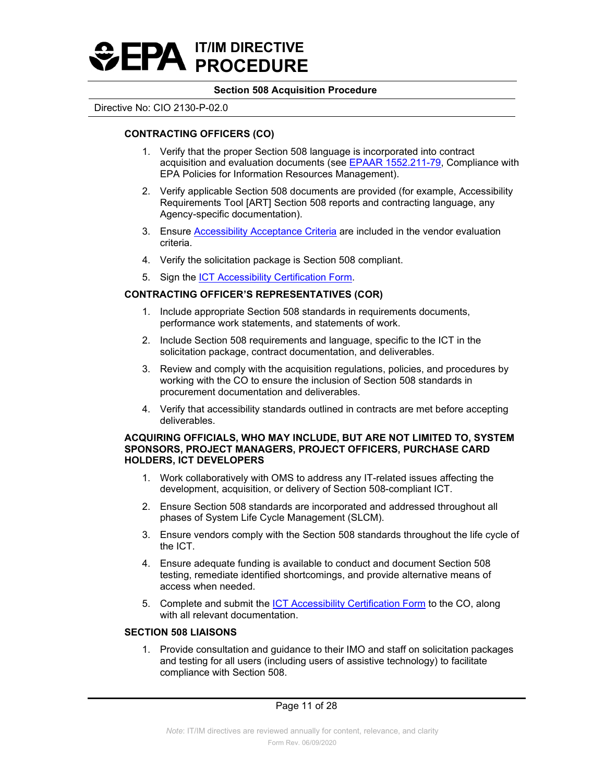

#### Directive No: CIO 2130-P-02.0

# **CONTRACTING OFFICERS (CO)**

- 1. Verify that the proper Section 508 language is incorporated into contract acquisition and evaluation documents (see [EPAAR 1552.211-79,](https://www.ecfr.gov/cgi-bin/text-idx?SID=55c3c72c37307bea3eea5735ed18c462&mc=true&node=se48.6.1552_1211_679&rgn=div8) Compliance with EPA Policies for Information Resources Management).
- 2. Verify applicable Section 508 documents are provided (for example, Accessibility Requirements Tool [ART] Section 508 reports and contracting language, any Agency-specific documentation).
- 3. Ensure [Accessibility Acceptance Criteria](#page-3-0) are included in the vendor evaluation criteria.
- 4. Verify the solicitation package is Section 508 compliant.
- 5. Sign the [ICT Accessibility Certification Form.](#page-23-0)

# **CONTRACTING OFFICER'S REPRESENTATIVES (COR)**

- performance work statements, and statements of work. 1. Include appropriate Section 508 standards in requirements documents,
- 2. Include Section 508 requirements and language, specific to the ICT in the solicitation package, contract documentation, and deliverables.
- 3. Review and comply with the acquisition regulations, policies, and procedures by working with the CO to ensure the inclusion of Section 508 standards in procurement documentation and deliverables.
- 4. Verify that accessibility standards outlined in contracts are met before accepting deliverables.

#### **ACQUIRING OFFICIALS, WHO MAY INCLUDE, BUT ARE NOT LIMITED TO, SYSTEM SPONSORS, PROJECT MANAGERS, PROJECT OFFICERS, PURCHASE CARD HOLDERS, ICT DEVELOPERS**

- 1. Work collaboratively with OMS to address any IT-related issues affecting the development, acquisition, or delivery of Section 508-compliant ICT.
- 2. Ensure Section 508 standards are incorporated and addressed throughout all phases of System Life Cycle Management (SLCM).
- 3. Ensure vendors comply with the Section 508 standards throughout the life cycle of the ICT.
- 4. Ensure adequate funding is available to conduct and document Section 508 testing, remediate identified shortcomings, and provide alternative means of access when needed.
- 5. Complete and submit the [ICT Accessibility Certification Form](#page-23-0) to the CO, along with all relevant documentation.

# **SECTION 508 LIAISONS**

1. Provide consultation and guidance to their IMO and staff on solicitation packages and testing for all users (including users of assistive technology) to facilitate compliance with Section 508.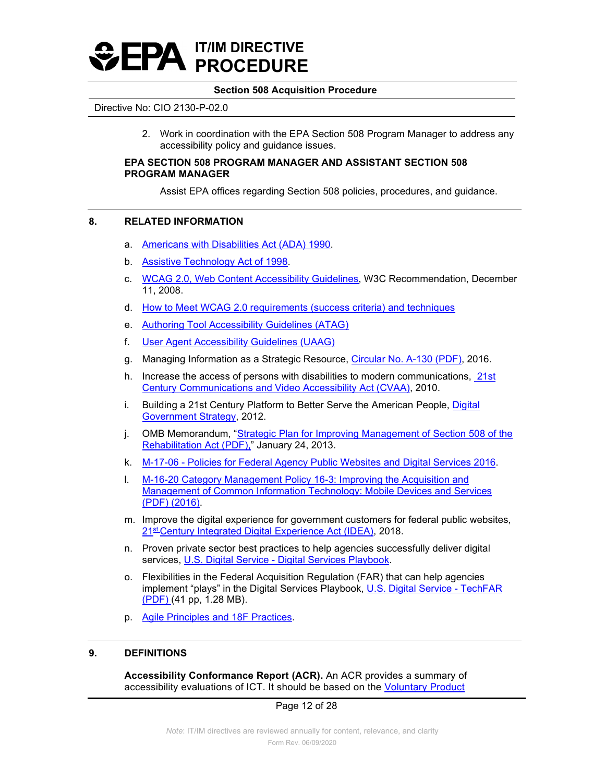

#### Directive No: CIO 2130-P-02.0

2. Work in coordination with the EPA Section 508 Program Manager to address any accessibility policy and guidance issues.

#### **EPA SECTION 508 PROGRAM MANAGER AND ASSISTANT SECTION 508 PROGRAM MANAGER**

Assist EPA offices regarding Section 508 policies, procedures, and guidance.

### **8. RELATED INFORMATION**

- a. [Americans with Disabilities Act \(ADA\) 1990.](https://www.ada.gov/pubs/ada.htm)
- b. [Assistive Technology Act of 1998.](https://www.congress.gov/bill/105th-congress/senate-bill/2432)
- c. [WCAG 2.0, Web Content Accessibility Guidelines,](http://www.w3.org/TR/WCAG20/) W3C Recommendation, December 11, 2008.
- d. How to Meet WCAG 2.0 requirements (success criteria) and techniques
- e. [Authoring Tool Accessibility Guidelines \(ATAG\)](https://www.w3.org/WAI/standards-guidelines/atag/)
- f. [User Agent Accessibility Guidelines \(UAAG\)](https://www.w3.org/WAI/standards-guidelines/uaag/)
- g. Managing Information as a Strategic Resource, [Circular No. A-130 \(PDF\),](https://obamawhitehouse.archives.gov/sites/default/files/omb/assets/OMB/circulars/a130/a130revised.pdf) 2016.
- h. Increase the access of persons with disabilities to modern communications, [21st](https://www.fcc.gov/guides/21st-century-communications-and-video-accessibility-act-2010)  [Century Communications and Video Accessibility Act \(CVAA\),](https://www.fcc.gov/guides/21st-century-communications-and-video-accessibility-act-2010) 2010.
- i. Building a 21st Century Platform to Better Serve the American People, [Digital](https://obamawhitehouse.archives.gov/sites/default/files/omb/egov/digital-government/digital-government.html)  [Government Strategy,](https://obamawhitehouse.archives.gov/sites/default/files/omb/egov/digital-government/digital-government.html) 2012.
- j. OMB Memorandum, "<u>Strategic Plan for Improving Management of Section 508 of the</u> [Rehabilitation Act \(PDF\),"](https://obamawhitehouse.archives.gov/sites/default/files/omb/procurement/memo/strategic-plan-508-compliance.pdf) January 24, 2013.
- k. M-17-06 [Policies for Federal Agency Public Websites and Digital Services 2016.](https://policy.cio.gov/web-policy/)
- l. [M-16-20 Category Management Policy 16-3: Improving the Acquisition and](https://www.whitehouse.gov/sites/whitehouse.gov/files/omb/memoranda/2016/m_16_20.pdf)  [Management of Common Information Technology: Mobile Devices and Services](https://www.whitehouse.gov/sites/whitehouse.gov/files/omb/memoranda/2016/m_16_20.pdf)  [\(PDF\) \(2016\).](https://www.whitehouse.gov/sites/whitehouse.gov/files/omb/memoranda/2016/m_16_20.pdf)
- [21st Century Integrated Digital Experience Act \(IDEA\),](https://digital.gov/resources/21st-century-integrated-digital-experience-act/) 2018. m. Improve the digital experience for government customers for federal public websites,
- n. Proven private sector best practices to help agencies successfully deliver digital services, U.S. Digital Service - [Digital Services Playbook.](https://playbook.cio.gov/)
- o. Flexibilities in the Federal Acquisition Regulation (FAR) that can help agencies implement "plays" in the Digital Services Playbook, [U.S. Digital Service -](https://go.usa.gov/xfdbV) TechFAR [\(PDF\)](https://go.usa.gov/xfdbV) (41 pp, 1.28 MB).
- p. [Agile Principles and 18F Practices.](https://agile.18f.gov/)

# **9. DEFINITIONS**

**Accessibility Conformance Report (ACR).** An ACR provides a summary of accessibility evaluations of ICT. It should be based on the [Voluntary Product](http://www.itic.org/policy/accessibility/vpat) 

### Page 12 of 28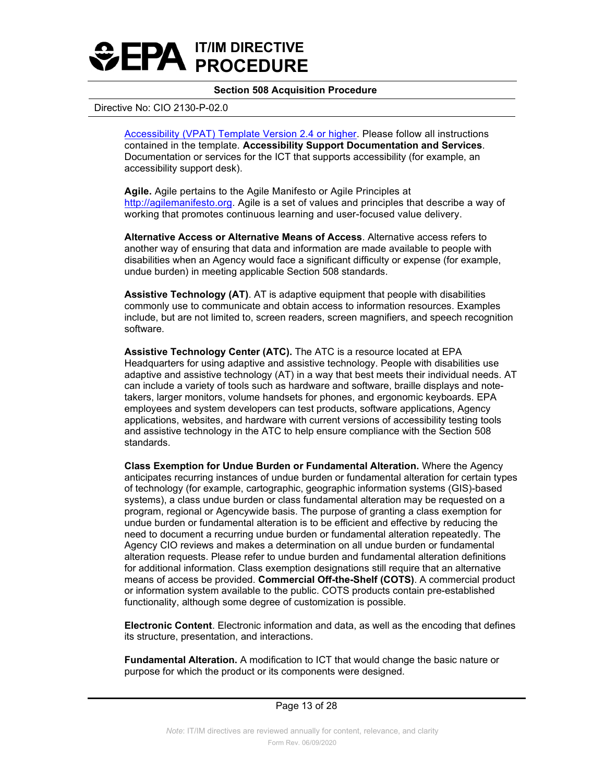

#### Directive No: CIO 2130-P-02.0

<span id="page-12-1"></span>[Accessibility \(VPAT\) Template Version 2.4 or higher.](http://www.itic.org/policy/accessibility/vpat) Please follow all instructions contained in the template. **Accessibility Support Documentation and Services**. Documentation or services for the ICT that supports accessibility (for example, an accessibility support desk).

**Agile.** Agile pertains to the Agile Manifesto or Agile Principles at [http://agilemanifesto.org.](http://agilemanifesto.org/) Agile is a set of values and principles that describe a way of working that promotes continuous learning and user-focused value delivery.

**Alternative Access or Alternative Means of Access**. Alternative access refers to another way of ensuring that data and information are made available to people with disabilities when an Agency would face a significant difficulty or expense (for example, undue burden) in meeting applicable Section 508 standards.

 commonly use to communicate and obtain access to information resources. Examples include, but are not limited to, screen readers, screen magnifiers, and speech recognition software. **Assistive Technology (AT)**. AT is adaptive equipment that people with disabilities

 **Assistive Technology Center (ATC).** The ATC is a resource located at EPA adaptive and assistive technology (AT) in a way that best meets their individual needs. AT takers, larger monitors, volume handsets for phones, and ergonomic keyboards. EPA and assistive technology in the ATC to help ensure compliance with the Section 508 Headquarters for using adaptive and assistive technology. People with disabilities use can include a variety of tools such as hardware and software, braille displays and noteemployees and system developers can test products, software applications, Agency applications, websites, and hardware with current versions of accessibility testing tools standards.

**Class Exemption for Undue Burden or Fundamental Alteration.** Where the Agency anticipates recurring instances of undue burden or fundamental alteration for certain types of technology (for example, cartographic, geographic information systems (GIS)-based systems), a class undue burden or class fundamental alteration may be requested on a program, regional or Agencywide basis. The purpose of granting a class exemption for undue burden or fundamental alteration is to be efficient and effective by reducing the need to document a recurring undue burden or fundamental alteration repeatedly. The Agency CIO reviews and makes a determination on all undue burden or fundamental alteration requests. Please refer to undue burden and fundamental alteration definitions for additional information. Class exemption designations still require that an alternative means of access be provided. **Commercial Off-the-Shelf (COTS)**. A commercial product or information system available to the public. COTS products contain pre-established functionality, although some degree of customization is possible.

<span id="page-12-0"></span> **Electronic Content**. Electronic information and data, as well as the encoding that defines its structure, presentation, and interactions.

**Fundamental Alteration.** A modification to ICT that would change the basic nature or purpose for which the product or its components were designed.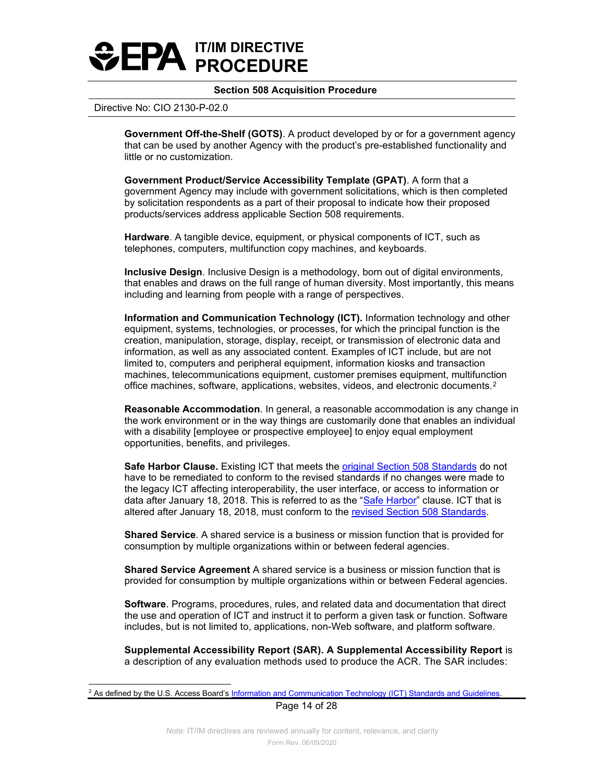

#### Directive No: CIO 2130-P-02.0

**Government Off-the-Shelf (GOTS)**. A product developed by or for a government agency that can be used by another Agency with the product's pre-established functionality and little or no customization.

 by solicitation respondents as a part of their proposal to indicate how their proposed **Government Product/Service Accessibility Template (GPAT)**. A form that a government Agency may include with government solicitations, which is then completed products/services address applicable Section 508 requirements.

<span id="page-13-1"></span>**Hardware**. A tangible device, equipment, or physical components of ICT, such as telephones, computers, multifunction copy machines, and keyboards.

 that enables and draws on the full range of human diversity. Most importantly, this means **Inclusive Design**. Inclusive Design is a methodology, born out of digital environments, including and learning from people with a range of perspectives.

 **Information and Communication Technology (ICT).** Information technology and other creation, manipulation, storage, display, receipt, or transmission of electronic data and information, as well as any associated content. Examples of ICT include, but are not equipment, systems, technologies, or processes, for which the principal function is the limited to, computers and peripheral equipment, information kiosks and transaction machines, telecommunications equipment, customer premises equipment, multifunction office machines, software, applications, websites, videos, and electronic documents.[2](#page-13-2) 

**Reasonable Accommodation**. In general, a reasonable accommodation is any change in the work environment or in the way things are customarily done that enables an individual with a disability [employee or prospective employee] to enjoy equal employment opportunities, benefits, and privileges.

**Safe Harbor Clause.** Existing ICT that meets the <u>original Section 508 Standards</u> do not data after January 18, 2018. This is referred to as the "<u>Safe Harbor</u>" clause. ICT that is have to be remediated to conform to the revised standards if no changes were made to the legacy ICT affecting interoperability, the user interface, or access to information or altered after January 18, 2018, must conform to the [revised Section 508 Standards.](https://www.access-board.gov/ict/#preamble)

**Shared Service**. A shared service is a business or mission function that is provided for consumption by multiple organizations within or between federal agencies.

 **Shared Service Agreement** A shared service is a business or mission function that is provided for consumption by multiple organizations within or between Federal agencies.

<span id="page-13-0"></span> **Software**. Programs, procedures, rules, and related data and documentation that direct includes, but is not limited to, applications, non-Web software, and platform software. the use and operation of ICT and instruct it to perform a given task or function. Software

**Supplemental Accessibility Report (SAR). A Supplemental Accessibility Report** is a description of any evaluation methods used to produce the ACR. The SAR includes:

Page 14 of 28

<span id="page-13-2"></span><sup>&</sup>lt;sup>2</sup> As defined by the U.S. Access Board's Information and Communication Technology (ICT) Standards and Guidelines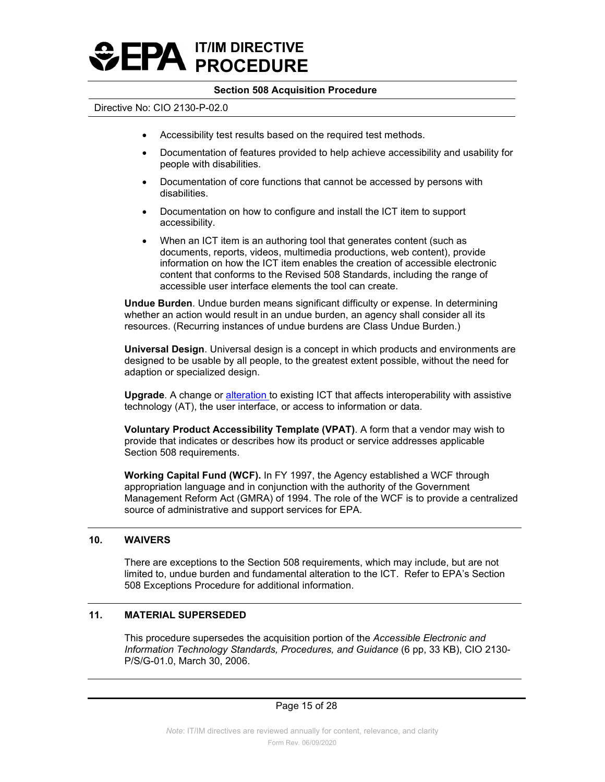

#### Directive No: CIO 2130-P-02.0

- Accessibility test results based on the required test methods.
- Documentation of features provided to help achieve accessibility and usability for people with disabilities.
- Documentation of core functions that cannot be accessed by persons with disabilities.
- Documentation on how to configure and install the ICT item to support accessibility.
- When an ICT item is an authoring tool that generates content (such as documents, reports, videos, multimedia productions, web content), provide information on how the ICT item enables the creation of accessible electronic content that conforms to the Revised 508 Standards, including the range of accessible user interface elements the tool can create.

 **Undue Burden**. Undue burden means significant difficulty or expense. In determining whether an action would result in an undue burden, an agency shall consider all its resources. (Recurring instances of undue burdens are Class Undue Burden.)

**Universal Design**. Universal design is a concept in which products and environments are designed to be usable by all people, to the greatest extent possible, without the need for adaption or specialized design.

**Upgrade**. A change or [alteration](https://www.access-board.gov/ict/#E103.4) to existing ICT that affects interoperability with assistive technology (AT), the user interface, or access to information or data.

**Voluntary Product Accessibility Template (VPAT)**. A form that a vendor may wish to provide that indicates or describes how its product or service addresses applicable Section 508 requirements.

**Working Capital Fund (WCF).** In FY 1997, the Agency established a WCF through appropriation language and in conjunction with the authority of the Government Management Reform Act (GMRA) of 1994. The role of the WCF is to provide a centralized source of administrative and support services for EPA.

### **10. WAIVERS**

 There are exceptions to the Section 508 requirements, which may include, but are not limited to, undue burden and fundamental alteration to the ICT. Refer to EPA's Section 508 Exceptions Procedure for additional information.

### **11. MATERIAL SUPERSEDED**

 *Information Technology Standards, Procedures, and Guidance* (6 pp, 33 KB), CIO 2130- This procedure supersedes the acquisition portion of the *Accessible Electronic and*  P/S/G-01.0, March 30, 2006.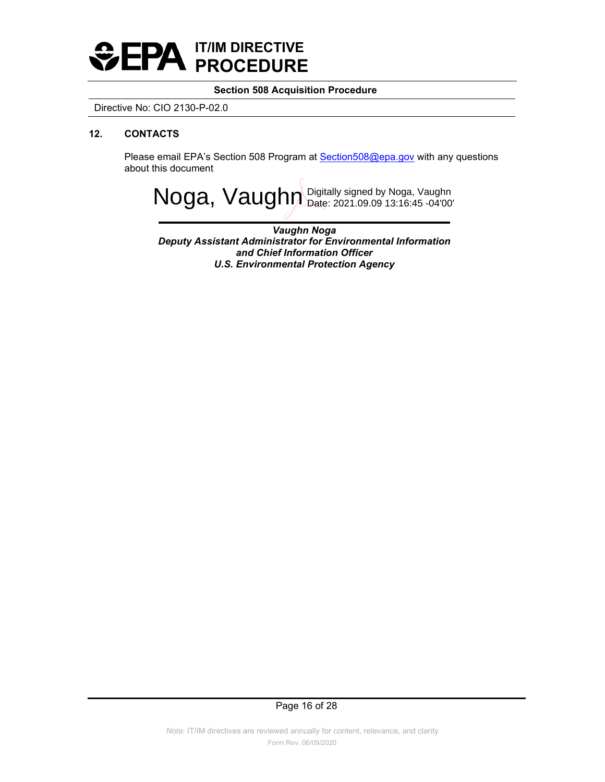

Directive No: CIO 2130-P-02.0

# **12. CONTACTS**

Please email EPA's Section 508 Program at [Section508@epa.gov](mailto:Section508@epa.gov?subject=Inquiry:%20Testing%20Procedure%20question) with any questions about this document

Noga, Vaughn Digitally signed by Noga, Vaughn

*Vaughn Noga Deputy Assistant Administrator for Environmental Information and Chief Information Officer U.S. Environmental Protection Agency*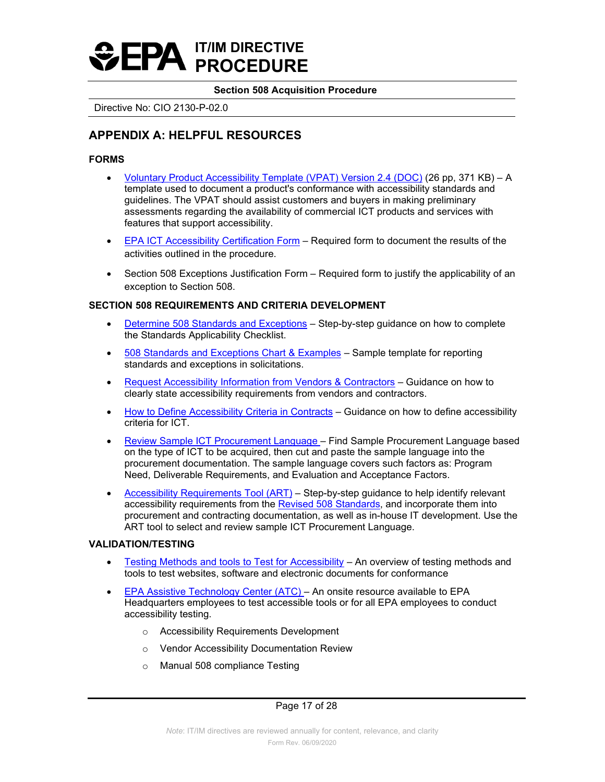## **Section 508 Acquisition Procedure**

Directive No: CIO 2130-P-02.0

# <span id="page-16-0"></span>**APPENDIX A: HELPFUL RESOURCES**

# <span id="page-16-1"></span>**FORMS**

- [Voluntary Product Accessibility Template \(VPAT\) Version 2.4 \(DOC\)](https://www.itic.org/dotAsset/b282ab06-0ab2-4540-adc2-78698058dfc3.doc) (26 pp, 371 KB) A template used to document a product's conformance with accessibility standards and guidelines. The VPAT should assist customers and buyers in making preliminary assessments regarding the availability of commercial ICT products and services with features that support accessibility.
- [EPA ICT Accessibility Certification Form](#page-23-0)  Required form to document the results of the activities outlined in the procedure.
- Section 508 Exceptions Justification Form Required form to justify the applicability of an exception to Section 508.

# **SECTION 508 REQUIREMENTS AND CRITERIA DEVELOPMENT**

- [Determine 508 Standards and Exceptions](https://www.section508.gov/buy/determine-508-standards-exceptions)  Step-by-step guidance on how to complete the Standards Applicability Checklist.
- [508 Standards and Exceptions Chart & Examples](https://www.section508.gov/buy/standards-exceptions)  Sample template for reporting standards and exceptions in solicitations.
- [Request Accessibility Information from Vendors & Contractors](https://www.section508.gov/buy/request-accessibility-information)  Guidance on how to clearly state accessibility requirements from vendors and contractors.
- [How to Define Accessibility Criteria in Contracts](https://www.section508.gov/buy/define-accessibility-criteria)  Guidance on how to define accessibility criteria for ICT.
- [Review Sample ICT Procurement Language](https://section508.gov/buy/accessibility-requirements-tool#target)  Find Sample Procurement Language based on the type of ICT to be acquired, then cut and paste the sample language into the procurement documentation. The sample language covers such factors as: Program Need, Deliverable Requirements, and Evaluation and Acceptance Factors.
- [Accessibility Requirements Tool \(ART\)](https://www.section508.gov/buy/accessibility-requirements-tool) Step-by-step guidance to help identify relevant accessibility requirements from the [Revised 508 Standards,](https://www.access-board.gov/guidelines-and-standards/communications-and-it/about-the-ict-refresh/final-rule/text-of-the-standards-and-guidelines) and incorporate them into procurement and contracting documentation, as well as in-house IT development. Use the ART tool to select and review sample ICT Procurement Language.

# **VALIDATION/TESTING**

- [Testing Methods and tools to Test for Accessibility](https://www.section508.gov/test)  An overview of testing methods and tools to test websites, software and electronic documents for conformance
- Headquarters employees to test accessible tools or for all EPA employees to conduct • [EPA Assistive Technology Center \(ATC\)](http://intranet.epa.gov/accessibility/atc.html) – An onsite resource available to EPA accessibility testing.
	- o Accessibility Requirements Development
	- o Vendor Accessibility Documentation Review
	- o Manual 508 compliance Testing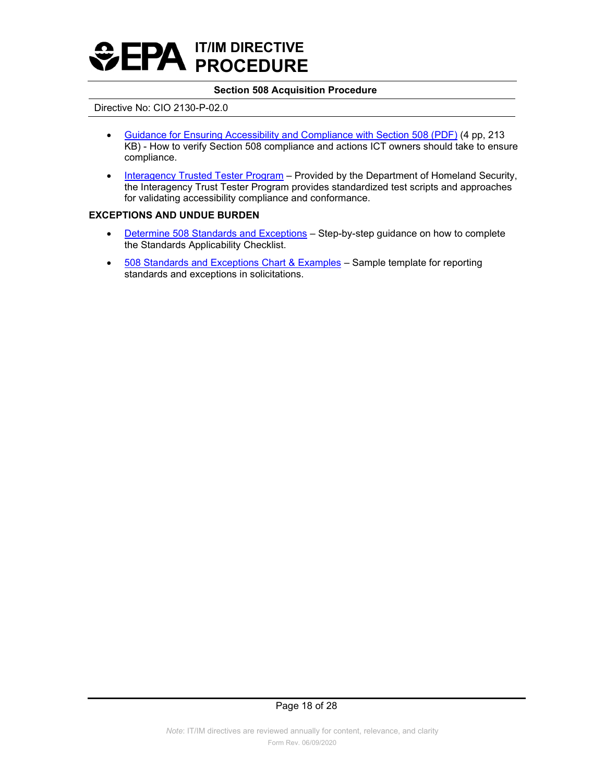

#### Directive No: CIO 2130-P-02.0

- KB) How to verify Section 508 compliance and actions ICT owners should take to ensure • [Guidance for Ensuring Accessibility and Compliance with Section 508 \(PDF\) \(](https://intranet.epa.gov/accessibility/pdf/Section_508_Guidance_Final.pdf)4 pp, 213 compliance.
- [Interagency Trusted Tester Program](https://www.section508.gov/test/trusted-tester)  Provided by the Department of Homeland Security, the Interagency Trust Tester Program provides standardized test scripts and approaches for validating accessibility compliance and conformance.

### **EXCEPTIONS AND UNDUE BURDEN**

- [Determine 508 Standards and Exceptions](https://www.section508.gov/buy/determine-508-standards-exceptions)  Step-by-step guidance on how to complete the Standards Applicability Checklist.
- [508 Standards and Exceptions Chart & Examples](https://www.section508.gov/buy/standards-exceptions)  Sample template for reporting standards and exceptions in solicitations.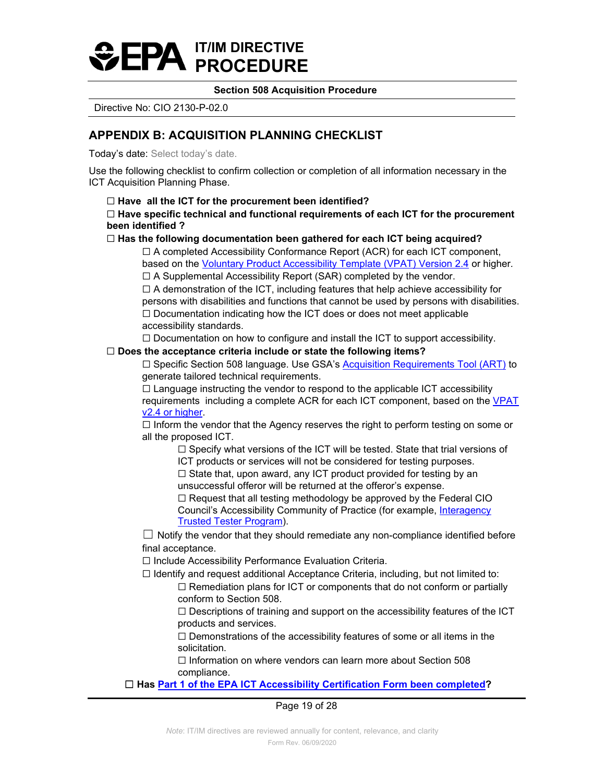# **Section 508 Acquisition Procedure**

Directive No: CIO 2130-P-02.0

# <span id="page-18-0"></span>**APPENDIX B: ACQUISITION PLANNING CHECKLIST**

Today's date: Select today's date.

 Use the following checklist to confirm collection or completion of all information necessary in the ICT Acquisition Planning Phase.

 ☐ **Have all the ICT for the procurement been identified?** 

# ☐ **Have specific technical and functional requirements of each ICT for the procurement been identified ?**

# ☐ **Has the following documentation been gathered for each ICT being acquired?**

 based on the [Voluntary Product Accessibility Template \(VPAT\) Version 2.4](https://www.itic.org/policy/accessibility/vpat) or higher*.*   $\Box$  A completed Accessibility Conformance Report (ACR) for each ICT component,

☐ A Supplemental Accessibility Report (SAR) completed by the vendor.

 $\Box$  A demonstration of the ICT, including features that help achieve accessibility for persons with disabilities and functions that cannot be used by persons with disabilities. ☐ Documentation indicating how the ICT does or does not meet applicable accessibility standards.

 $\Box$  Documentation on how to configure and install the ICT to support accessibility.

# ☐ **Does the acceptance criteria include or state the following items?**

☐ Specific Section 508 language. Use GSA's [Acquisition Requirements Tool \(ART\)](https://buyaccessible.gov/index.php) to generate tailored technical requirements.

requirements including a complete ACR for each ICT component, based on the <u>VPAT</u>  $\Box$  Language instructing the vendor to respond to the applicable ICT accessibility [v2.4 or higher.](https://www.itic.org/policy/accessibility/vpat)

 $\Box$  Inform the vendor that the Agency reserves the right to perform testing on some or all the proposed ICT.

 $\Box$  Specify what versions of the ICT will be tested. State that trial versions of ICT products or services will not be considered for testing purposes.

☐ State that, upon award, any ICT product provided for testing by an unsuccessful offeror will be returned at the offeror's expense.

 $\Box$  Request that all testing methodology be approved by the Federal CIO Council's Accessibility Community of Practice (for example, [Interagency](https://www.section508.gov/test/trusted-tester)  [Trusted Tester Program\)](https://www.section508.gov/test/trusted-tester).

 $\Box$  Notify the vendor that they should remediate any non-compliance identified before final acceptance.

☐ Include Accessibility Performance Evaluation Criteria.

 $\Box$  Identify and request additional Acceptance Criteria, including, but not limited to:

 $\Box$  Remediation plans for ICT or components that do not conform or partially conform to Section 508.

 $\Box$  Descriptions of training and support on the accessibility features of the ICT products and services.

 $\Box$  Demonstrations of the accessibility features of some or all items in the solicitation.

☐ Information on where vendors can learn more about Section 508 compliance.

# ☐ **Has [Part 1 of the EPA ICT Accessibility Certification Form been completed?](#page-23-0)**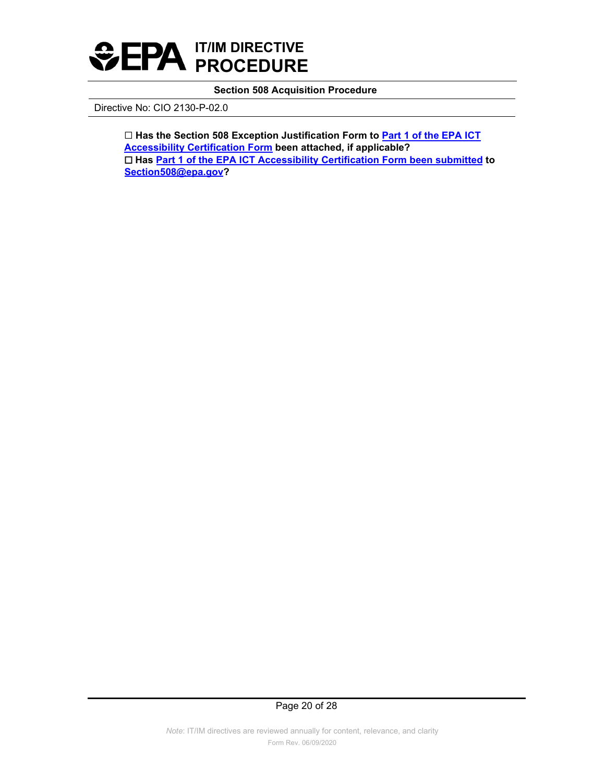

Directive No: CIO 2130-P-02.0

 ☐ **Has the Section 508 Exception Justification Form to [Part 1 of the EPA ICT](#page-23-0) [Accessibility Certification Form](#page-23-0) been attached, if applicable?**  ☐ **Has [Part 1 of the EPA ICT Accessibility Certification Form been submitted](#page-23-0) to [Section508@epa.gov?](mailto:Section508@epa.gov?subject=Inquiry:%20Acquisition%20Procedure%20question)**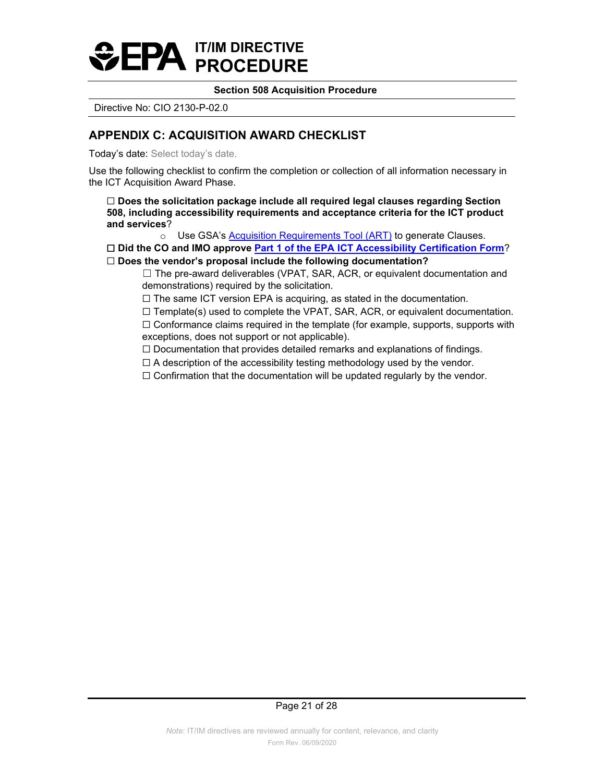# **Section 508 Acquisition Procedure**

Directive No: CIO 2130-P-02.0

# <span id="page-20-0"></span>**APPENDIX C: ACQUISITION AWARD CHECKLIST**

Today's date: Select today's date.

 Use the following checklist to confirm the completion or collection of all information necessary in the ICT Acquisition Award Phase.

☐ **Does the solicitation package include all required legal clauses regarding Section 508, including accessibility requirements and acceptance criteria for the ICT product and services**?

o Use GSA's **Acquisition Requirements Tool (ART)** to generate Clauses.

☐ **Did the CO and IMO approve [Part 1 of the EPA ICT Accessibility Certification Form](#page-23-0)**? ☐ **Does the vendor's proposal include the following documentation?** 

 ☐ The pre-award deliverables (VPAT, SAR, ACR, or equivalent documentation and demonstrations) required by the solicitation.

☐ The same ICT version EPA is acquiring, as stated in the documentation.

 $\Box$  Template(s) used to complete the VPAT, SAR, ACR, or equivalent documentation.  $\Box$  Conformance claims required in the template (for example, supports, supports with exceptions, does not support or not applicable).

☐ Documentation that provides detailed remarks and explanations of findings.

 $\Box$  A description of the accessibility testing methodology used by the vendor.

 $\Box$  Confirmation that the documentation will be updated regularly by the vendor.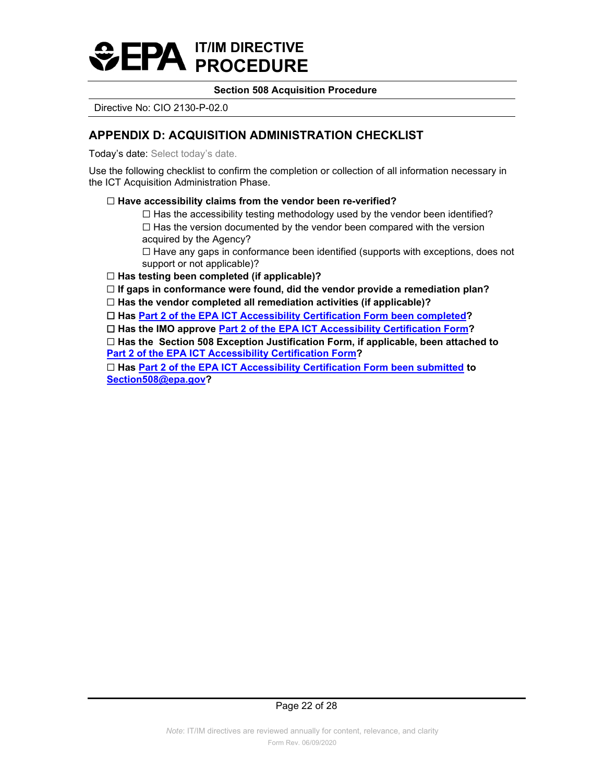# **Section 508 Acquisition Procedure**

Directive No: CIO 2130-P-02.0

# <span id="page-21-0"></span>**APPENDIX D: ACQUISITION ADMINISTRATION CHECKLIST**

Today's date: Select today's date.

Use the following checklist to confirm the completion or collection of all information necessary in the ICT Acquisition Administration Phase.

# ☐ **Have accessibility claims from the vendor been re-verified?**

☐ Has the accessibility testing methodology used by the vendor been identified? ☐ Has the version documented by the vendor been compared with the version acquired by the Agency?

 support or not applicable)?  $\Box$  Have any gaps in conformance been identified (supports with exceptions, does not

☐ **Has testing been completed (if applicable)?**

 ☐ **If gaps in conformance were found, did the vendor provide a remediation plan?**

☐ **Has the vendor completed all remediation activities (if applicable)?**

☐ **Has [Part 2 of the EPA ICT Accessibility Certification Form](#page-26-0) been completed?**

 ☐ **Has the IMO approve [Part 2 of the EPA ICT Accessibility Certification Form?](#page-26-0)**

 ☐ **Has the Section 508 Exception Justification Form, if applicable, been attached to [Part 2 of the EPA ICT Accessibility Certification Form?](#page-26-0)**

 ☐ **Has [Part 2 of the EPA ICT Accessibility Certification Form been submitted](#page-26-0) to [Section508@epa.gov?](mailto:Section508@epa.gov?subject=Inquiry:%20Acquisition%20Procedure%20question)**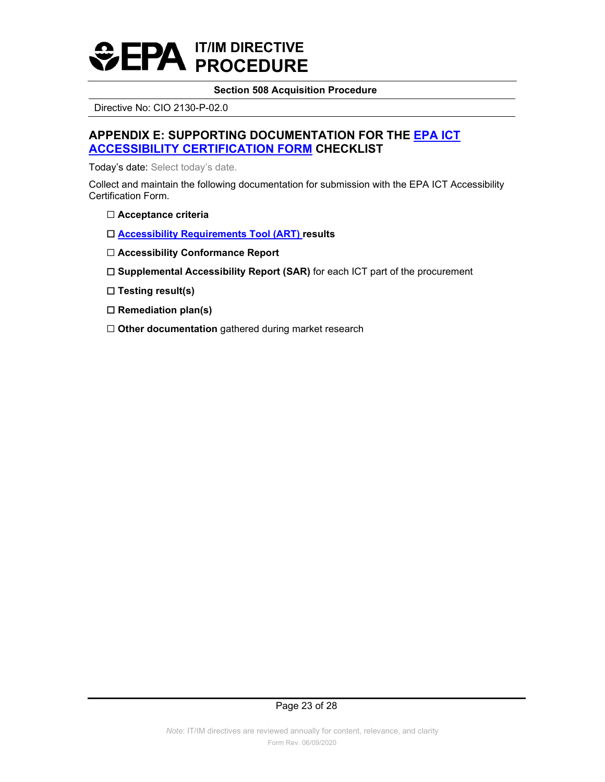

Directive No: CIO 2130-P-02.0

# <span id="page-22-0"></span>**APPENDIX E: SUPPORTING DOCUMENTATION FOR THE [EPA ICT](#page-23-0)  [ACCESSIBILITY CERTIFICATION FORM](#page-23-0) CHECKLIST**

Today's date: Select today's date.

Collect and maintain the following documentation for submission with the EPA ICT Accessibility Certification Form.

- ☐ **Acceptance criteria**
- ☐ **[Accessibility Requirements Tool \(ART\)](https://www.section508.gov/buy/accessibility-requirements-tool) results**
- ☐ **Accessibility Conformance Report**
- ☐ **Supplemental Accessibility Report (SAR)** for each ICT part of the procurement
- ☐ **Testing result(s)**
- ☐ **Remediation plan(s)**
- □ Other documentation gathered during market research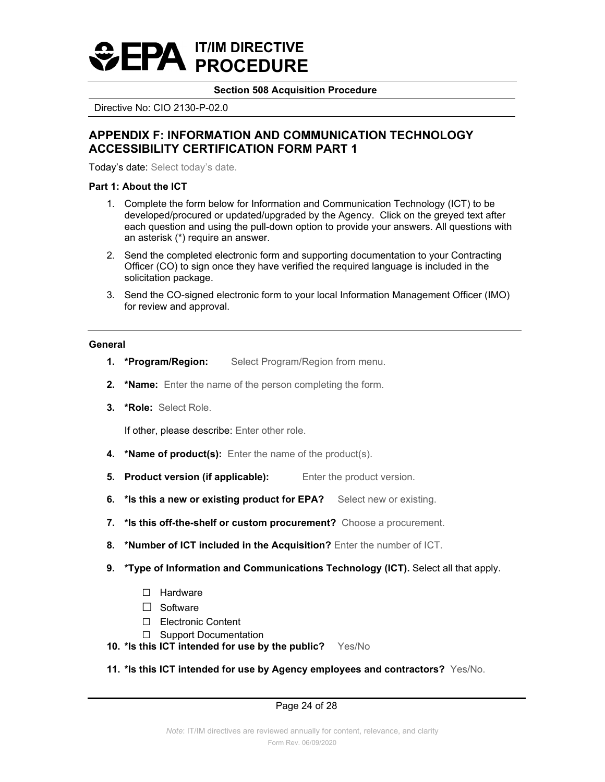# **Section 508 Acquisition Procedure**

Directive No: CIO 2130-P-02.0

# <span id="page-23-0"></span> **ACCESSIBILITY CERTIFICATION FORM PART 1 APPENDIX F: INFORMATION AND COMMUNICATION TECHNOLOGY**

Today's date: Select today's date.

# **Part 1: About the ICT**

- 1. Complete the form below for Information and Communication Technology (ICT) to be developed/procured or updated/upgraded by the Agency. Click on the greyed text after each question and using the pull-down option to provide your answers. All questions with an asterisk (\*) require an answer.
- 2. Send the completed electronic form and supporting documentation to your Contracting Officer (CO) to sign once they have verified the required language is included in the solicitation package.
- 3. Send the CO-signed electronic form to your local Information Management Officer (IMO) for review and approval.

### **General**

- **1. \*Program/Region:** Select Program/Region from menu.
- **2. \*Name:** Enter the name of the person completing the form.
- **3. \*Role:** Select Role.

If other, please describe: Enter other role.

- **4.** \***Name of product(s):** Enter the name of the product(s).
- **5. Product version (if applicable):** Enter the product version.
- **6. \*Is this a new or existing product for EPA?** Select new or existing.
- **7. \*Is this off-the-shelf or custom procurement?** Choose a procurement.
- 8. \*Number of ICT included in the Acquisition? Enter the number of ICT.
- **9. \*Type of Information and Communications Technology (ICT).** Select all that apply.
	- □ Hardware
	- ☐ Software
	- ☐ Electronic Content
	- ☐ Support Documentation
- **10. \*Is this ICT intended for use by the public?** Yes/No
- **11. \*Is this ICT intended for use by Agency employees and contractors?** Yes/No.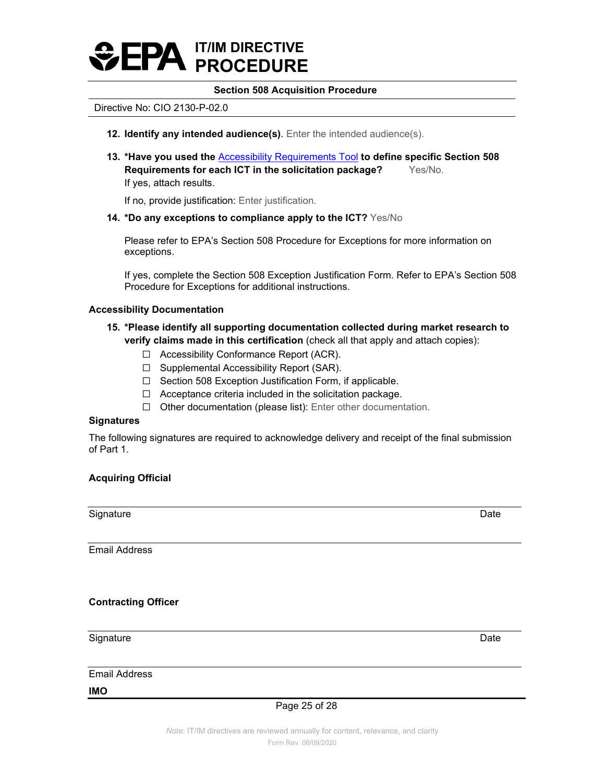# **Section 508 Acquisition Procedure**

#### Directive No: CIO 2130-P-02.0

- **12. Identify any intended audience(s)**. Enter the intended audience(s).
- **Requirements for each ICT in the solicitation package?** Yes/No. **13. \*Have you used the** [Accessibility Requirements Tool](https://www.section508.gov/buy/accessibility-requirements-tool) **to define specific Section 508**  If yes, attach results.

If no, provide justification: Enter justification.

**14. \*Do any exceptions to compliance apply to the ICT?** Yes/No

Please refer to EPA's Section 508 Procedure for Exceptions for more information on exceptions.

If yes, complete the Section 508 Exception Justification Form. Refer to EPA's Section 508 Procedure for Exceptions for additional instructions.

#### **Accessibility Documentation**

- **15. \*Please identify all supporting documentation collected during market research to verify claims made in this certification** (check all that apply and attach copies):
	- ☐ Accessibility Conformance Report (ACR).
	- ☐ Supplemental Accessibility Report (SAR).
	- ☐ Section 508 Exception Justification Form, if applicable.
	- ☐ Acceptance criteria included in the solicitation package.
	- ☐ Other documentation (please list): Enter other documentation.

# **Signatures**

The following signatures are required to acknowledge delivery and receipt of the final submission of Part 1.

# **Acquiring Official**

Signature Date Date of the Date of the Date of the Date of the Date of the Date of the Date of the Date of the

Email Address

### **Contracting Officer**

Signature Date Date of the Signature Date of the Date of the Date of the Date of the Date of the Date of the D

Email Address

**IMO** 

Page 25 of 28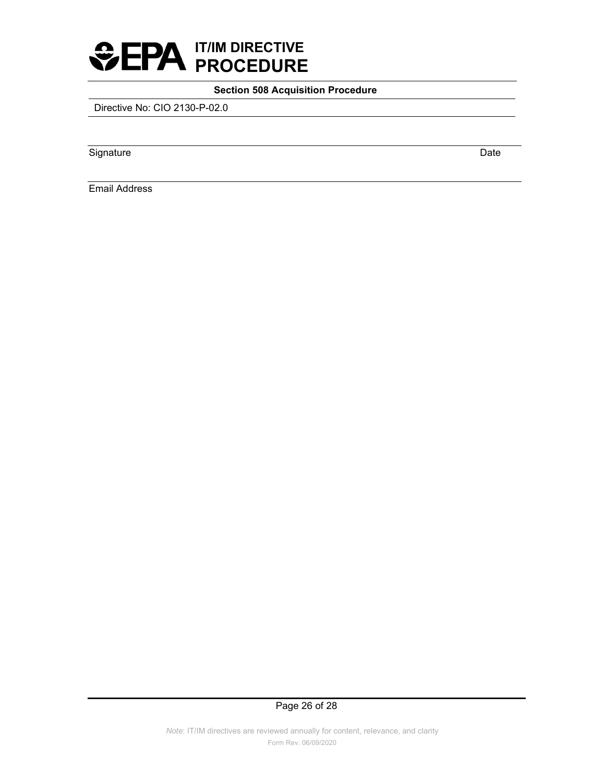

Directive No: CIO 2130-P-02.0

Signature Date

Email Address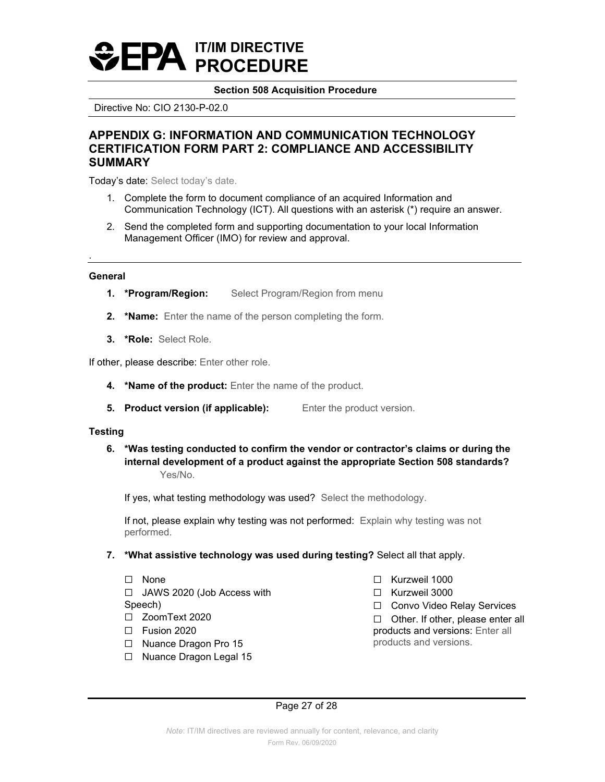# **Section 508 Acquisition Procedure**

Directive No: CIO 2130-P-02.0

# <span id="page-26-0"></span>**APPENDIX G: INFORMATION AND COMMUNICATION TECHNOLOGY CERTIFICATION FORM PART 2: COMPLIANCE AND ACCESSIBILITY SUMMARY**

Today's date: Select today's date.

- 1. Complete the form to document compliance of an acquired Information and Communication Technology (ICT). All questions with an asterisk (\*) require an answer.
- 2. Send the completed form and supporting documentation to your local Information Management Officer (IMO) for review and approval.

#### **General**

.

- **1. \*Program/Region:** Select Program/Region from menu
- **2. \*Name:** Enter the name of the person completing the form.
- **3. \*Role:** Select Role.

If other, please describe: Enter other role.

- **4. \*Name of the product:** Enter the name of the product.
- **5. Product version (if applicable):** Enter the product version.

### **Testing**

 **internal development of a product against the appropriate Section 508 standards? 6. \*Was testing conducted to confirm the vendor or contractor's claims or during the** Yes/No.

If yes, what testing methodology was used? Select the methodology.

If not, please explain why testing was not performed: Explain why testing was not performed.

- **7. \*What assistive technology was used during testing?** Select all that apply.
	- $\Box$  None  $\Box$  None  $\Box$  Kurzweil 1000 ☐ JAWS 2020 (Job Access with ☐ Kurzweil 3000

- 
- 
- $\Box$  Nuance Dragon Pro 15
- ☐ Nuance Dragon Legal 15
- 
- 
- Speech)<br>
□ Convo Video Relay Services<br>
□ ZoomText 2020

☐ ZoomText 2020 ☐ Other. If other, please enter all products and versions: Enter all products and versions.